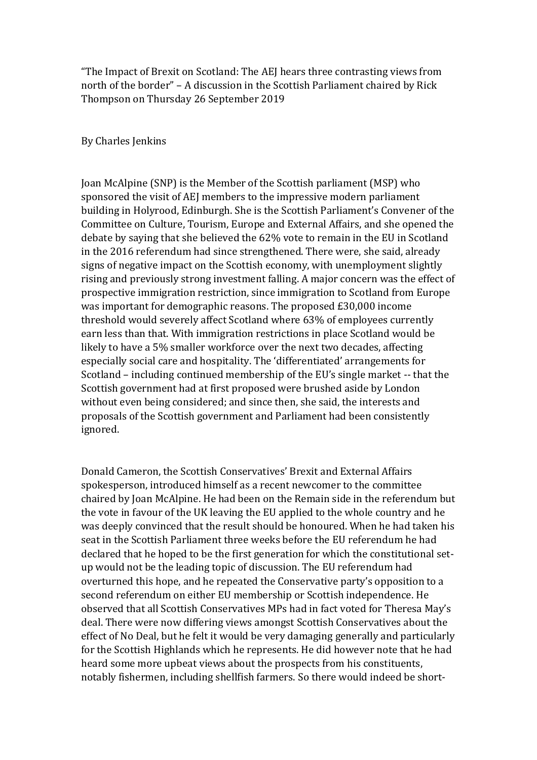"The Impact of Brexit on Scotland: The AEJ hears three contrasting views from north of the border" – A discussion in the Scottish Parliament chaired by Rick Thompson on Thursday 26 September 2019

By Charles Jenkins

Joan McAlpine (SNP) is the Member of the Scottish parliament (MSP) who sponsored the visit of AEJ members to the impressive modern parliament building in Holyrood, Edinburgh. She is the Scottish Parliament's Convener of the Committee on Culture, Tourism, Europe and External Affairs, and she opened the debate by saying that she believed the 62% vote to remain in the EU in Scotland in the 2016 referendum had since strengthened. There were, she said, already signs of negative impact on the Scottish economy, with unemployment slightly rising and previously strong investment falling. A major concern was the effect of prospective immigration restriction, since immigration to Scotland from Europe was important for demographic reasons. The proposed £30,000 income threshold would severely affect Scotland where 63% of employees currently earn less than that. With immigration restrictions in place Scotland would be likely to have a 5% smaller workforce over the next two decades, affecting especially social care and hospitality. The 'differentiated' arrangements for Scotland – including continued membership of the EU's single market -- that the Scottish government had at first proposed were brushed aside by London without even being considered; and since then, she said, the interests and proposals of the Scottish government and Parliament had been consistently ignored.

Donald Cameron, the Scottish Conservatives' Brexit and External Affairs spokesperson, introduced himself as a recent newcomer to the committee chaired by Joan McAlpine. He had been on the Remain side in the referendum but the vote in favour of the UK leaving the EU applied to the whole country and he was deeply convinced that the result should be honoured. When he had taken his seat in the Scottish Parliament three weeks before the EU referendum he had declared that he hoped to be the first generation for which the constitutional setup would not be the leading topic of discussion. The EU referendum had overturned this hope, and he repeated the Conservative party's opposition to a second referendum on either EU membership or Scottish independence. He observed that all Scottish Conservatives MPs had in fact voted for Theresa May's deal. There were now differing views amongst Scottish Conservatives about the effect of No Deal, but he felt it would be very damaging generally and particularly for the Scottish Highlands which he represents. He did however note that he had heard some more upbeat views about the prospects from his constituents, notably fishermen, including shellfish farmers. So there would indeed be short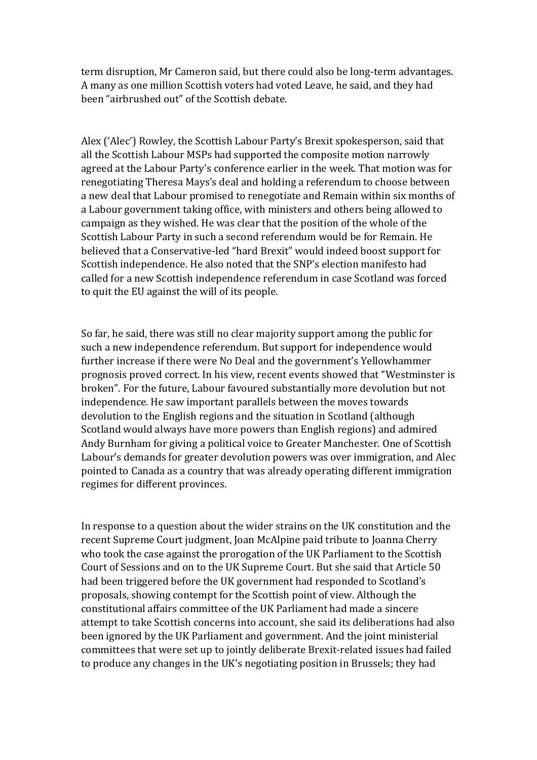term disruption, Mr Cameron said, but there could also be long-term advantages. A many as one million Scottish voters had voted Leave, he said, and they had been "airbrushed out" of the Scottish debate.

Alex ('Alec') Rowley, the Scottish Labour Party's Brexit spokesperson, said that all the Scottish Labour MSPs had supported the composite motion narrowly agreed at the Labour Party's conference earlier in the week. That motion was for renegotiating Theresa Mays's deal and holding a referendum to choose between a new deal that Labour promised to renegotiate and Remain within six months of a Labour government taking office, with ministers and others being allowed to campaign as they wished. He was clear that the position of the whole of the Scottish Labour Party in such a second referendum would be for Remain. He believed that a Conservative-led "hard Brexit" would indeed boost support for Scottish independence. He also noted that the SNP's election manifesto had called for a new Scottish independence referendum in case Scotland was forced to quit the EU against the will of its people.

So far, he said, there was still no clear majority support among the public for such a new independence referendum. But support for independence would further increase if there were No Deal and the government's Yellowhammer prognosis proved correct. In his view, recent events showed that "Westminster is broken". For the future, Labour favoured substantially more devolution but not independence. He saw important parallels between the moves towards devolution to the English regions and the situation in Scotland (although Scotland would always have more powers than English regions) and admired Andy Burnham for giving a political voice to Greater Manchester. One of Scottish Labour's demands for greater devolution powers was over immigration, and Alec pointed to Canada as a country that was already operating different immigration regimes for different provinces.

In response to a question about the wider strains on the UK constitution and the recent Supreme Court judgment, Joan McAlpine paid tribute to Joanna Cherry who took the case against the prorogation of the UK Parliament to the Scottish Court of Sessions and on to the UK Supreme Court. But she said that Article 50 had been triggered before the UK government had responded to Scotland's proposals, showing contempt for the Scottish point of view. Although the constitutional affairs committee of the UK Parliament had made a sincere attempt to take Scottish concerns into account, she said its deliberations had also been ignored by the UK Parliament and government. And the joint ministerial committees that were set up to jointly deliberate Brexit-related issues had failed to produce any changes in the UK's negotiating position in Brussels; they had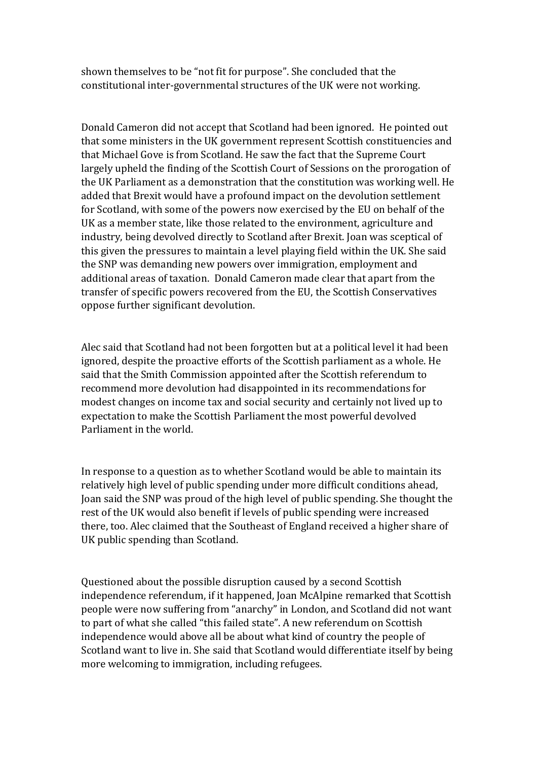shown themselves to be "not fit for purpose". She concluded that the constitutional inter-governmental structures of the UK were not working.

Donald Cameron did not accept that Scotland had been ignored. He pointed out that some ministers in the UK government represent Scottish constituencies and that Michael Gove is from Scotland. He saw the fact that the Supreme Court largely upheld the finding of the Scottish Court of Sessions on the prorogation of the UK Parliament as a demonstration that the constitution was working well. He added that Brexit would have a profound impact on the devolution settlement for Scotland, with some of the powers now exercised by the EU on behalf of the UK as a member state, like those related to the environment, agriculture and industry, being devolved directly to Scotland after Brexit. Joan was sceptical of this given the pressures to maintain a level playing field within the UK. She said the SNP was demanding new powers over immigration, employment and additional areas of taxation. Donald Cameron made clear that apart from the transfer of specific powers recovered from the EU, the Scottish Conservatives oppose further significant devolution.

Alec said that Scotland had not been forgotten but at a political level it had been ignored, despite the proactive efforts of the Scottish parliament as a whole. He said that the Smith Commission appointed after the Scottish referendum to recommend more devolution had disappointed in its recommendations for modest changes on income tax and social security and certainly not lived up to expectation to make the Scottish Parliament the most powerful devolved Parliament in the world.

In response to a question as to whether Scotland would be able to maintain its relatively high level of public spending under more difficult conditions ahead, Joan said the SNP was proud of the high level of public spending. She thought the rest of the UK would also benefit if levels of public spending were increased there, too. Alec claimed that the Southeast of England received a higher share of UK public spending than Scotland.

Questioned about the possible disruption caused by a second Scottish independence referendum, if it happened, Joan McAlpine remarked that Scottish people were now suffering from "anarchy" in London, and Scotland did not want to part of what she called "this failed state". A new referendum on Scottish independence would above all be about what kind of country the people of Scotland want to live in. She said that Scotland would differentiate itself by being more welcoming to immigration, including refugees.